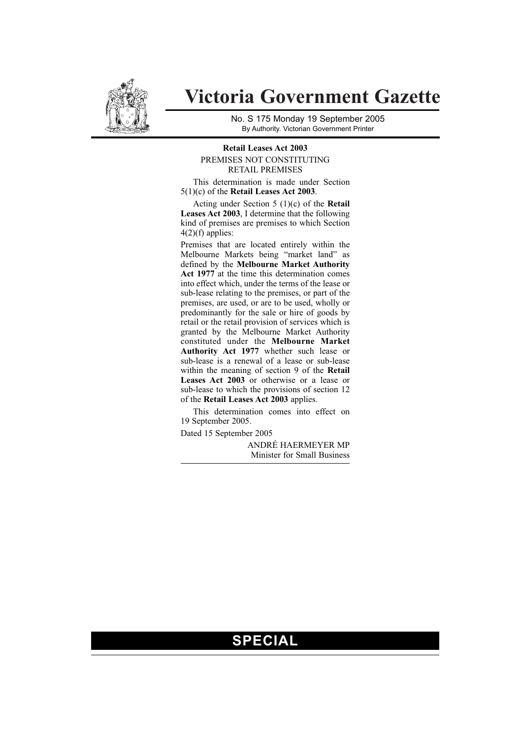

# **Victoria Government Gazette**

No. S 175 Monday 19 September 2005 By Authority. Victorian Government Printer

#### **Retail Leases Act 2003** PREMISES NOT CONSTITUTING RETAIL PREMISES

This determination is made under Section 5(1)(c) of the **Retail Leases Act 2003**.

Acting under Section 5 (1)(c) of the **Retail Leases Act 2003**, I determine that the following kind of premises are premises to which Section  $4(2)(f)$  applies:

Premises that are located entirely within the Melbourne Markets being "market land" as defined by the **Melbourne Market Authority** Act 1977 at the time this determination comes into effect which, under the terms of the lease or sub-lease relating to the premises, or part of the premises, are used, or are to be used, wholly or predominantly for the sale or hire of goods by retail or the retail provision of services which is granted by the Melbourne Market Authority constituted under the **Melbourne Market Authority Act 1977** whether such lease or sub-lease is a renewal of a lease or sub-lease within the meaning of section 9 of the **Retail Leases Act 2003** or otherwise or a lease or sub-lease to which the provisions of section 12 of the **Retail Leases Act 2003** applies.

This determination comes into effect on 19 September 2005.

Dated 15 September 2005

ANDRÉ HAERMEYER MP Minister for Small Business

## **SPECIAL**